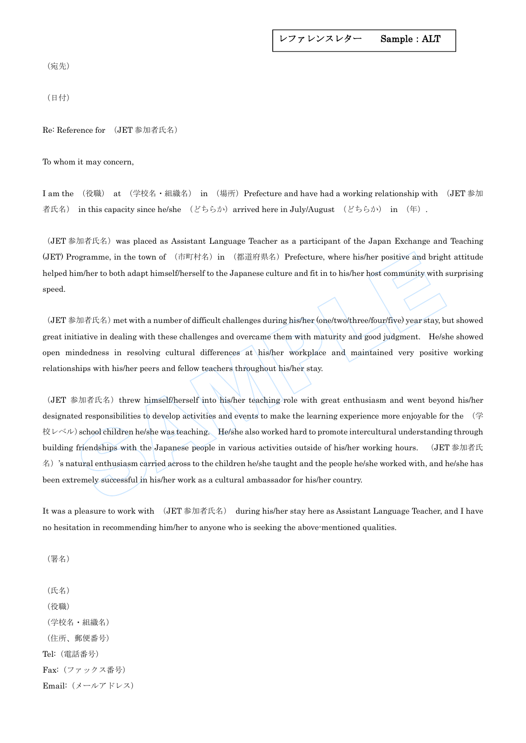```
レファレンスレター Sample:ALT
```
(宛先)

(日付)

Re: Reference for (JET 参加者氏名)

To whom it may concern,

I am the (役職) at (学校名·組織名) in (場所)Prefecture and have had a working relationship with (JET 参加 者氏名) in this capacity since he/she (どちらか) arrived here in July/August (どちらか) in (年).

(JET 参加者氏名)was placed as Assistant Language Teacher as a participant of the Japan Exchange and Teaching (JET) Programme, in the town of (市町村名) in (都道府県名) Prefecture, where his/her positive and bright attitude helped him/her to both adapt himself/herself to the Japanese culture and fit in to his/her host community with surprising speed.

(JET 参加者氏名)met with a number of difficult challenges during his/her (one/two/three/four/five) year stay, but showed great initiative in dealing with these challenges and overcame them with maturity and good judgment. He/she showed open mindedness in resolving cultural differences at his/her workplace and maintained very positive working relationships with his/her peers and fellow teachers throughout his/her stay.

(JET 参加者氏名) threw himself/herself into his/her teaching role with great enthusiasm and went beyond his/her designated responsibilities to develop activities and events to make the learning experience more enjoyable for the (学 校レベル) school children he/she was teaching. He/she also worked hard to promote intercultural understanding through building friendships with the Japanese people in various activities outside of his/her working hours. (JET 参加者氏 名)'s natural enthusiasm carried across to the children he/she taught and the people he/she worked with, and he/she has been extremely successful in his/her work as a cultural ambassador for his/her country. rogramme, in the town of  $(\text{tfiff} \# \mathcal{A})$  in  $(\text{ffiff} \# \mathcal{A})$  Prefecture, where his/her positive and bright<br>im/her to both adapt himself/herself to the Japanese culture and fit in to his/her host community with<br> $\mathcal{B} \math$ 

It was a pleasure to work with (JET 参加者氏名) during his/her stay here as Assistant Language Teacher, and I have no hesitation in recommending him/her to anyone who is seeking the above-mentioned qualities.

(署名)

(氏名) (役職) (学校名・組織名) (住所、郵便番号) Tel:(電話番号) Fax:(ファックス番号) Email:(メールアドレス)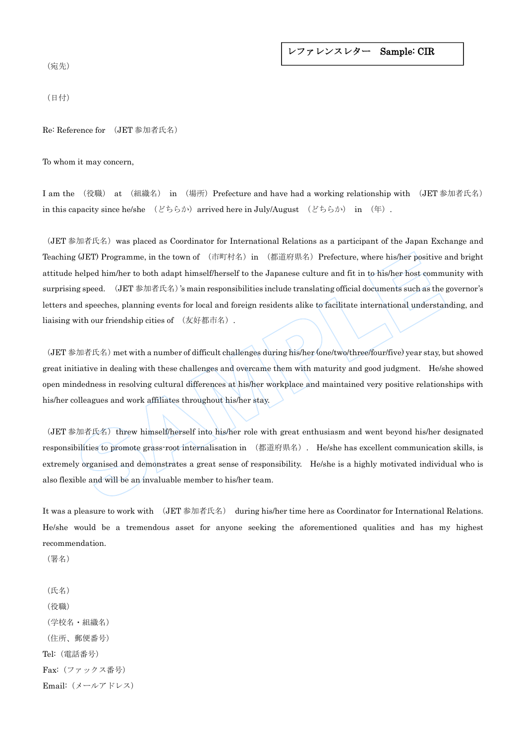## レファレンスレター Sample: CIR

(宛先)

(日付)

Re: Reference for (JET 参加者氏名)

To whom it may concern,

I am the (役職) at (組織名) in (場所)Prefecture and have had a working relationship with (JET 参加者氏名) in this capacity since he/she  $(\forall \xi) \in \mathbb{R}$  arrived here in July/August  $(\forall \xi) \in \mathbb{R}$  in  $(\nexists \xi)$ .

(JET 参加者氏名)was placed as Coordinator for International Relations as a participant of the Japan Exchange and Teaching (JET) Programme, in the town of (市町村名) in (都道府県名) Prefecture, where his/her positive and bright attitude helped him/her to both adapt himself/herself to the Japanese culture and fit in to his/her host community with surprising speed. (JET 参加者氏名)'s main responsibilities include translating official documents such as the governor's letters and speeches, planning events for local and foreign residents alike to facilitate international understanding, and liaising with our friendship cities of (友好都市名). g (JET) Programme, in the town of  $(\dagger \dagger \dagger \dagger \dagger \dagger \dagger \dagger \dagger)$  in  $(\dagger \dagger \dagger \dagger \dagger \dagger \dagger \dagger \dagger \dagger)$  Prefecture, where his/her positive *i*<br>helped him/her to both adapt himself/herself to the Japanese culture and fit in

(JET 参加者氏名)met with a number of difficult challenges during his/her (one/two/three/four/five) year stay, but showed great initiative in dealing with these challenges and overcame them with maturity and good judgment. He/she showed open mindedness in resolving cultural differences at his/her workplace and maintained very positive relationships with his/her colleagues and work affiliates throughout his/her stay.

(JET 参加者氏名) threw himself/herself into his/her role with great enthusiasm and went beyond his/her designated responsibilities to promote grass-root internalisation in (都道府県名). He/she has excellent communication skills, is extremely organised and demonstrates a great sense of responsibility. He/she is a highly motivated individual who is also flexible and will be an invaluable member to his/her team.

It was a pleasure to work with (JET 参加者氏名) during his/her time here as Coordinator for International Relations. He/she would be a tremendous asset for anyone seeking the aforementioned qualities and has my highest recommendation.

(署名)

(氏名) (役職) (学校名・組織名) (住所、郵便番号) Tel:(電話番号) Fax:(ファックス番号) Email:(メールアドレス)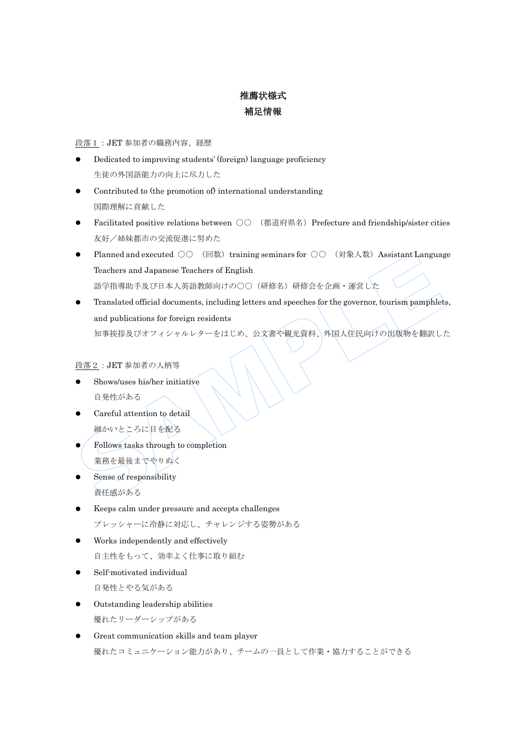## 推薦状様式 補足情報

## 段落1:JET 参加者の職務内容、経歴

- Dedicated to improving students' (foreign) language proficiency 生徒の外国語能力の向上に尽力した
- Contributed to (the promotion of) international understanding 国際理解に貢献した
- Facilitated positive relations between  $\bigcirc \bigcirc$  (都道府県名) Prefecture and friendship/sister cities 友好/姉妹都市の交流促進に努めた
- Planned and executed ○○ (回数) training seminars for ○○ (対象人数) Assistant Language Teachers and Japanese Teachers of English 語学指導助手及び日本人英語教師向けの○○(研修名)研修会を企画・運営した
- Translated official documents, including letters and speeches for the governor, tourism pamphlets, and publications for foreign residents 知事挨拶及びオフィシャルレターをはじめ、公文書や観光資料、外国人住民向けの出版物を翻訳した ● Planned and executed ○○ (回教)training seminars for ○○ (対象人教)Assistant Languag<br>
Teachers and Japanese Teachers of English<br>
語学指導助手及び日本人英語教師向けの○○ (研修名)研修会を企画・運営した<br>
Translated official documents, including letters and spee

段落2:JET 参加者の人柄等

- Shows/uses his/her initiative 自発性がある
- Careful attention to detail 細かいところに目を配る
- Follows tasks through to completion 業務を最後までやりぬく
- Sense of responsibility 責任感がある
- Keeps calm under pressure and accepts challenges プレッシャーに冷静に対応し、チャレンジする姿勢がある
- Works independently and effectively 自主性をもって、効率よく仕事に取り組む
- Self-motivated individual 自発性とやる気がある
- Outstanding leadership abilities 優れたリーダーシップがある
- Great communication skills and team player 優れたコミュニケーション能力があり、チームの一員として作業・協力することができる